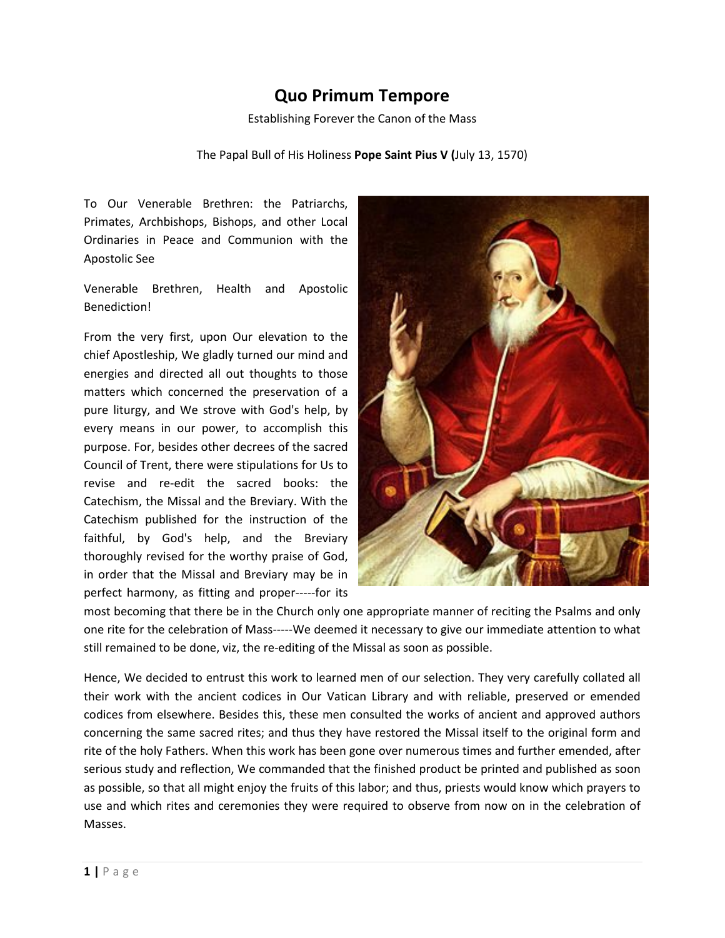## **Quo Primum Tempore**

Establishing Forever the Canon of the Mass

## The Papal Bull of His Holiness **Pope Saint Pius V (**July 13, 1570)

To Our Venerable Brethren: the Patriarchs, Primates, Archbishops, Bishops, and other Local Ordinaries in Peace and Communion with the Apostolic See

Venerable Brethren, Health and Apostolic Benediction!

From the very first, upon Our elevation to the chief Apostleship, We gladly turned our mind and energies and directed all out thoughts to those matters which concerned the preservation of a pure liturgy, and We strove with God's help, by every means in our power, to accomplish this purpose. For, besides other decrees of the sacred Council of Trent, there were stipulations for Us to revise and re-edit the sacred books: the Catechism, the Missal and the Breviary. With the Catechism published for the instruction of the faithful, by God's help, and the Breviary thoroughly revised for the worthy praise of God, in order that the Missal and Breviary may be in perfect harmony, as fitting and proper-----for its



most becoming that there be in the Church only one appropriate manner of reciting the Psalms and only one rite for the celebration of Mass-----We deemed it necessary to give our immediate attention to what still remained to be done, viz, the re-editing of the Missal as soon as possible.

Hence, We decided to entrust this work to learned men of our selection. They very carefully collated all their work with the ancient codices in Our Vatican Library and with reliable, preserved or emended codices from elsewhere. Besides this, these men consulted the works of ancient and approved authors concerning the same sacred rites; and thus they have restored the Missal itself to the original form and rite of the holy Fathers. When this work has been gone over numerous times and further emended, after serious study and reflection, We commanded that the finished product be printed and published as soon as possible, so that all might enjoy the fruits of this labor; and thus, priests would know which prayers to use and which rites and ceremonies they were required to observe from now on in the celebration of Masses.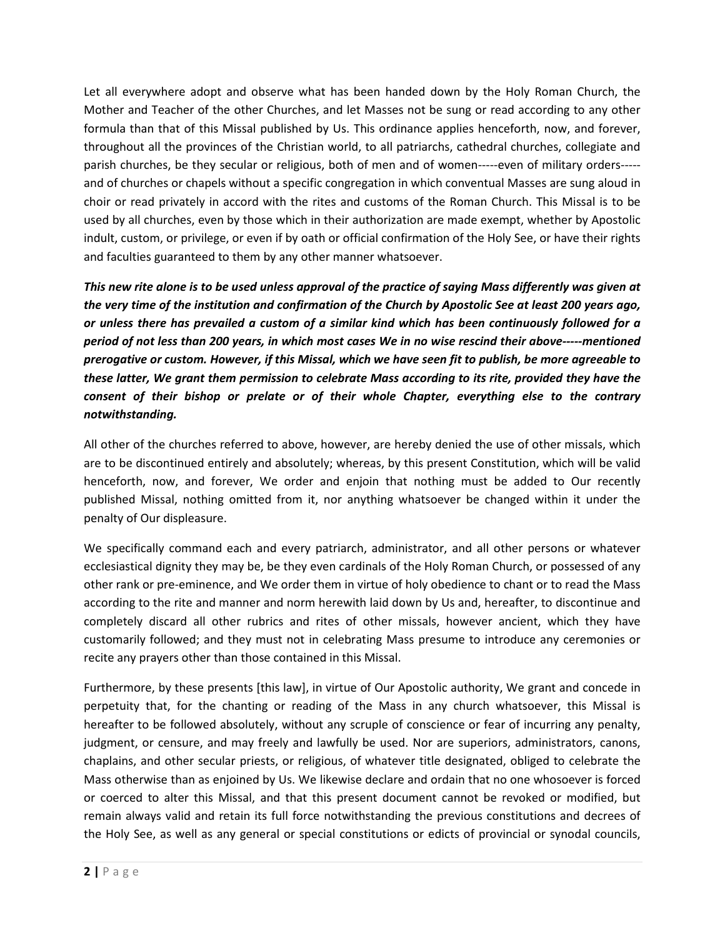Let all everywhere adopt and observe what has been handed down by the Holy Roman Church, the Mother and Teacher of the other Churches, and let Masses not be sung or read according to any other formula than that of this Missal published by Us. This ordinance applies henceforth, now, and forever, throughout all the provinces of the Christian world, to all patriarchs, cathedral churches, collegiate and parish churches, be they secular or religious, both of men and of women-----even of military orders---- and of churches or chapels without a specific congregation in which conventual Masses are sung aloud in choir or read privately in accord with the rites and customs of the Roman Church. This Missal is to be used by all churches, even by those which in their authorization are made exempt, whether by Apostolic indult, custom, or privilege, or even if by oath or official confirmation of the Holy See, or have their rights and faculties guaranteed to them by any other manner whatsoever.

*This new rite alone is to be used unless approval of the practice of saying Mass differently was given at the very time of the institution and confirmation of the Church by Apostolic See at least 200 years ago, or unless there has prevailed a custom of a similar kind which has been continuously followed for a period of not less than 200 years, in which most cases We in no wise rescind their above-----mentioned prerogative or custom. However, if this Missal, which we have seen fit to publish, be more agreeable to these latter, We grant them permission to celebrate Mass according to its rite, provided they have the consent of their bishop or prelate or of their whole Chapter, everything else to the contrary notwithstanding.* 

All other of the churches referred to above, however, are hereby denied the use of other missals, which are to be discontinued entirely and absolutely; whereas, by this present Constitution, which will be valid henceforth, now, and forever, We order and enjoin that nothing must be added to Our recently published Missal, nothing omitted from it, nor anything whatsoever be changed within it under the penalty of Our displeasure.

We specifically command each and every patriarch, administrator, and all other persons or whatever ecclesiastical dignity they may be, be they even cardinals of the Holy Roman Church, or possessed of any other rank or pre-eminence, and We order them in virtue of holy obedience to chant or to read the Mass according to the rite and manner and norm herewith laid down by Us and, hereafter, to discontinue and completely discard all other rubrics and rites of other missals, however ancient, which they have customarily followed; and they must not in celebrating Mass presume to introduce any ceremonies or recite any prayers other than those contained in this Missal.

Furthermore, by these presents [this law], in virtue of Our Apostolic authority, We grant and concede in perpetuity that, for the chanting or reading of the Mass in any church whatsoever, this Missal is hereafter to be followed absolutely, without any scruple of conscience or fear of incurring any penalty, judgment, or censure, and may freely and lawfully be used. Nor are superiors, administrators, canons, chaplains, and other secular priests, or religious, of whatever title designated, obliged to celebrate the Mass otherwise than as enjoined by Us. We likewise declare and ordain that no one whosoever is forced or coerced to alter this Missal, and that this present document cannot be revoked or modified, but remain always valid and retain its full force notwithstanding the previous constitutions and decrees of the Holy See, as well as any general or special constitutions or edicts of provincial or synodal councils,